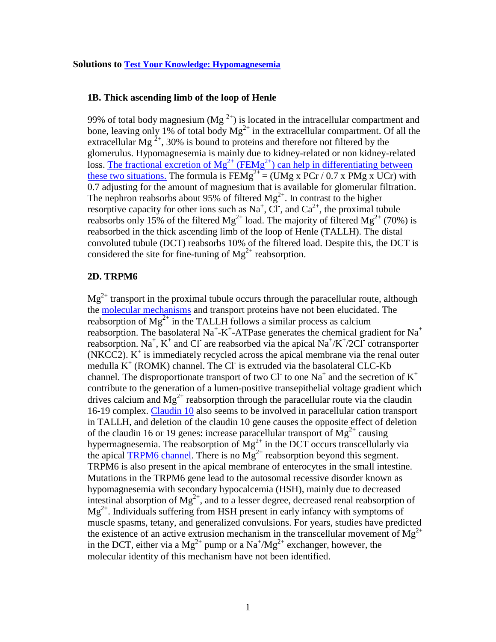#### **1B. Thick ascending limb of the loop of Henle**

99% of total body magnesium (Mg<sup>2+</sup>) is located in the intracellular compartment and bone, leaving only 1% of total body  $Mg^{2+}$  in the extracellular compartment. Of all the extracellular Mg<sup>2+</sup>, 30% is bound to proteins and therefore not filtered by the glomerulus. Hypomagnesemia is mainly due to kidney-related or non kidney-related loss. The fractional excretion of  $Mg^{2+}$  (FEMg<sup>2+</sup>) can help in differentiating between [these two situations.](http://www.ncbi.nlm.nih.gov/pubmed/21041532) The formula is  $FEMg^{2+} = (UMg \times PCr / 0.7 \times PMg \times UCr)$  with 0.7 adjusting for the amount of magnesium that is available for glomerular filtration. The nephron reabsorbs about 95% of filtered  $Mg^{2+}$ . In contrast to the higher resorptive capacity for other ions such as Na<sup>+</sup>, Cl<sup>-</sup>, and Ca<sup>2+</sup>, the proximal tubule reabsorbs only 15% of the filtered  $Mg^{2+}$  load. The majority of filtered  $Mg^{2+}$  (70%) is reabsorbed in the thick ascending limb of the loop of Henle (TALLH). The distal convoluted tubule (DCT) reabsorbs 10% of the filtered load. Despite this, the DCT is considered the site for fine-tuning of  $Mg^{2+}$  reabsorption.

#### **2D. TRPM6**

 $Mg^{2+}$  transport in the proximal tubule occurs through the paracellular route, although the [molecular mechanisms](http://www.ncbi.nlm.nih.gov/pubmed/21041532) and transport proteins have not been elucidated. The reabsorption of  $Mg^{2+}$  in the TALLH follows a similar process as calcium reabsorption. The basolateral Na<sup>+</sup>-K<sup>+</sup>-ATPase generates the chemical gradient for Na<sup>+</sup> reabsorption. Na<sup>+</sup>, K<sup>+</sup> and Cl<sup>-</sup> are reabsorbed via the apical Na<sup>+</sup>/K<sup>+</sup>/2Cl<sup>-</sup> cotransporter  $(NKCC2)$ .  $K^+$  is immediately recycled across the apical membrane via the renal outer medulla  $K^+$  (ROMK) channel. The Cl is extruded via the basolateral CLC-Kb channel. The disproportionate transport of two Cl<sup>-</sup> to one Na<sup>+</sup> and the secretion of  $K^+$ contribute to the generation of a lumen-positive transepithelial voltage gradient which drives calcium and  $Mg^{2+}$  reabsorption through the paracellular route via the claudin 16-19 complex. [Claudin 10](http://www.ncbi.nlm.nih.gov/pubmed/22891322) also seems to be involved in paracellular cation transport in TALLH, and deletion of the claudin 10 gene causes the opposite effect of deletion of the claudin 16 or 19 genes: increase paracellular transport of  $Mg^{2+}$  causing hypermagnesemia. The reabsorption of  $Mg^{2+}$  in the DCT occurs transcellularly via the apical [TRPM6 channel.](http://www.ncbi.nlm.nih.gov/pubmed/20625291) There is no  $Mg^{2+}$  reabsorption beyond this segment. TRPM6 is also present in the apical membrane of enterocytes in the small intestine. Mutations in the TRPM6 gene lead to the autosomal recessive disorder known as hypomagnesemia with secondary hypocalcemia (HSH), mainly due to decreased intestinal absorption of  $Mg^{2+}$ , and to a lesser degree, decreased renal reabsorption of  $Mg^{2+}$ . Individuals suffering from HSH present in early infancy with symptoms of muscle spasms, tetany, and generalized convulsions. For years, studies have predicted the existence of an active extrusion mechanism in the transcellular movement of  $Mg^{2+}$ in the DCT, either via a  $Mg^{2+}$  pump or a  $Na^{+}/Mg^{2+}$  exchanger, however, the molecular identity of this mechanism have not been identified.